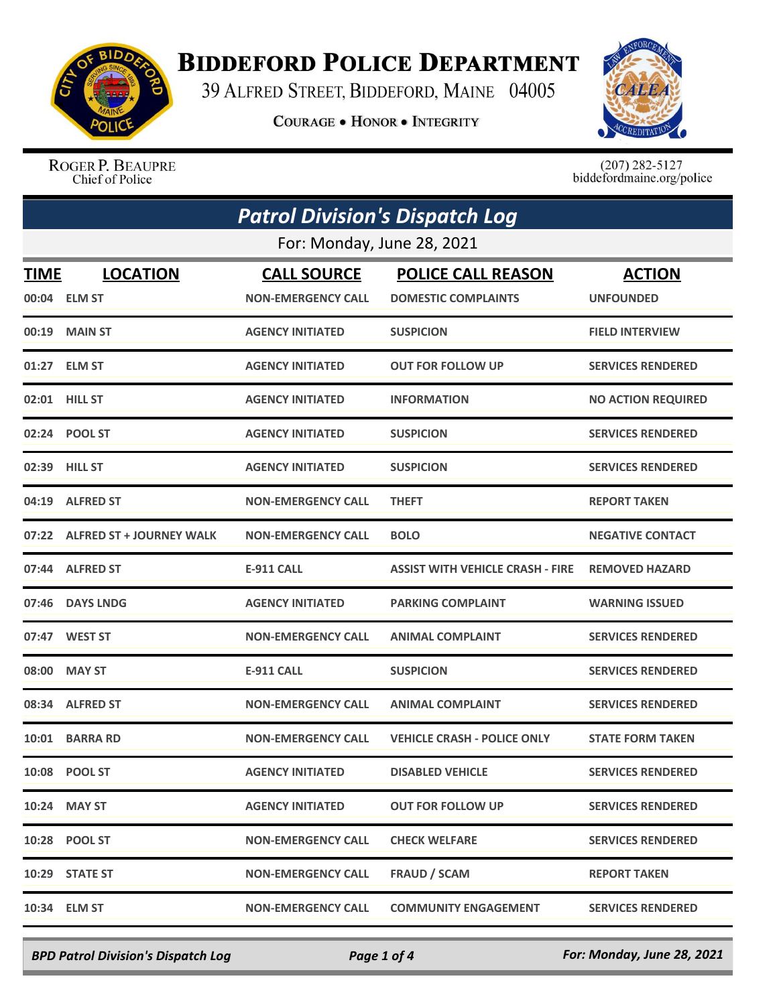

## **BIDDEFORD POLICE DEPARTMENT**

39 ALFRED STREET, BIDDEFORD, MAINE 04005

**COURAGE . HONOR . INTEGRITY** 



ROGER P. BEAUPRE Chief of Police

 $(207)$  282-5127<br>biddefordmaine.org/police

| <b>Patrol Division's Dispatch Log</b> |                                 |                                                 |                                                         |                                   |  |  |
|---------------------------------------|---------------------------------|-------------------------------------------------|---------------------------------------------------------|-----------------------------------|--|--|
|                                       | For: Monday, June 28, 2021      |                                                 |                                                         |                                   |  |  |
| TIME                                  | <b>LOCATION</b><br>00:04 ELM ST | <b>CALL SOURCE</b><br><b>NON-EMERGENCY CALL</b> | <b>POLICE CALL REASON</b><br><b>DOMESTIC COMPLAINTS</b> | <b>ACTION</b><br><b>UNFOUNDED</b> |  |  |
| 00:19                                 | <b>MAIN ST</b>                  | <b>AGENCY INITIATED</b>                         | <b>SUSPICION</b>                                        | <b>FIELD INTERVIEW</b>            |  |  |
|                                       | 01:27 ELM ST                    | <b>AGENCY INITIATED</b>                         | <b>OUT FOR FOLLOW UP</b>                                | <b>SERVICES RENDERED</b>          |  |  |
|                                       | 02:01 HILL ST                   | <b>AGENCY INITIATED</b>                         | <b>INFORMATION</b>                                      | <b>NO ACTION REQUIRED</b>         |  |  |
|                                       | 02:24 POOL ST                   | <b>AGENCY INITIATED</b>                         | <b>SUSPICION</b>                                        | <b>SERVICES RENDERED</b>          |  |  |
| 02:39                                 | <b>HILL ST</b>                  | <b>AGENCY INITIATED</b>                         | <b>SUSPICION</b>                                        | <b>SERVICES RENDERED</b>          |  |  |
| 04:19                                 | <b>ALFRED ST</b>                | <b>NON-EMERGENCY CALL</b>                       | <b>THEFT</b>                                            | <b>REPORT TAKEN</b>               |  |  |
| 07:22                                 | <b>ALFRED ST + JOURNEY WALK</b> | <b>NON-EMERGENCY CALL</b>                       | <b>BOLO</b>                                             | <b>NEGATIVE CONTACT</b>           |  |  |
|                                       | 07:44 ALFRED ST                 | <b>E-911 CALL</b>                               | <b>ASSIST WITH VEHICLE CRASH - FIRE</b>                 | <b>REMOVED HAZARD</b>             |  |  |
| 07:46                                 | <b>DAYS LNDG</b>                | <b>AGENCY INITIATED</b>                         | <b>PARKING COMPLAINT</b>                                | <b>WARNING ISSUED</b>             |  |  |
| 07:47                                 | <b>WEST ST</b>                  | <b>NON-EMERGENCY CALL</b>                       | <b>ANIMAL COMPLAINT</b>                                 | <b>SERVICES RENDERED</b>          |  |  |
| 08:00                                 | <b>MAY ST</b>                   | <b>E-911 CALL</b>                               | <b>SUSPICION</b>                                        | <b>SERVICES RENDERED</b>          |  |  |
| 08:34                                 | <b>ALFRED ST</b>                | <b>NON-EMERGENCY CALL</b>                       | <b>ANIMAL COMPLAINT</b>                                 | <b>SERVICES RENDERED</b>          |  |  |
| 10:01                                 | <b>BARRA RD</b>                 | <b>NON-EMERGENCY CALL</b>                       | <b>VEHICLE CRASH - POLICE ONLY</b>                      | <b>STATE FORM TAKEN</b>           |  |  |
|                                       | 10:08 POOL ST                   | <b>AGENCY INITIATED</b>                         | <b>DISABLED VEHICLE</b>                                 | <b>SERVICES RENDERED</b>          |  |  |
|                                       | 10:24 MAY ST                    | <b>AGENCY INITIATED</b>                         | <b>OUT FOR FOLLOW UP</b>                                | <b>SERVICES RENDERED</b>          |  |  |
|                                       | 10:28 POOL ST                   | <b>NON-EMERGENCY CALL</b>                       | <b>CHECK WELFARE</b>                                    | <b>SERVICES RENDERED</b>          |  |  |
|                                       | 10:29 STATE ST                  | <b>NON-EMERGENCY CALL</b>                       | <b>FRAUD / SCAM</b>                                     | <b>REPORT TAKEN</b>               |  |  |
| 10:34                                 | <b>ELM ST</b>                   | <b>NON-EMERGENCY CALL</b>                       | <b>COMMUNITY ENGAGEMENT</b>                             | <b>SERVICES RENDERED</b>          |  |  |

*BPD Patrol Division's Dispatch Log Page 1 of 4 For: Monday, June 28, 2021*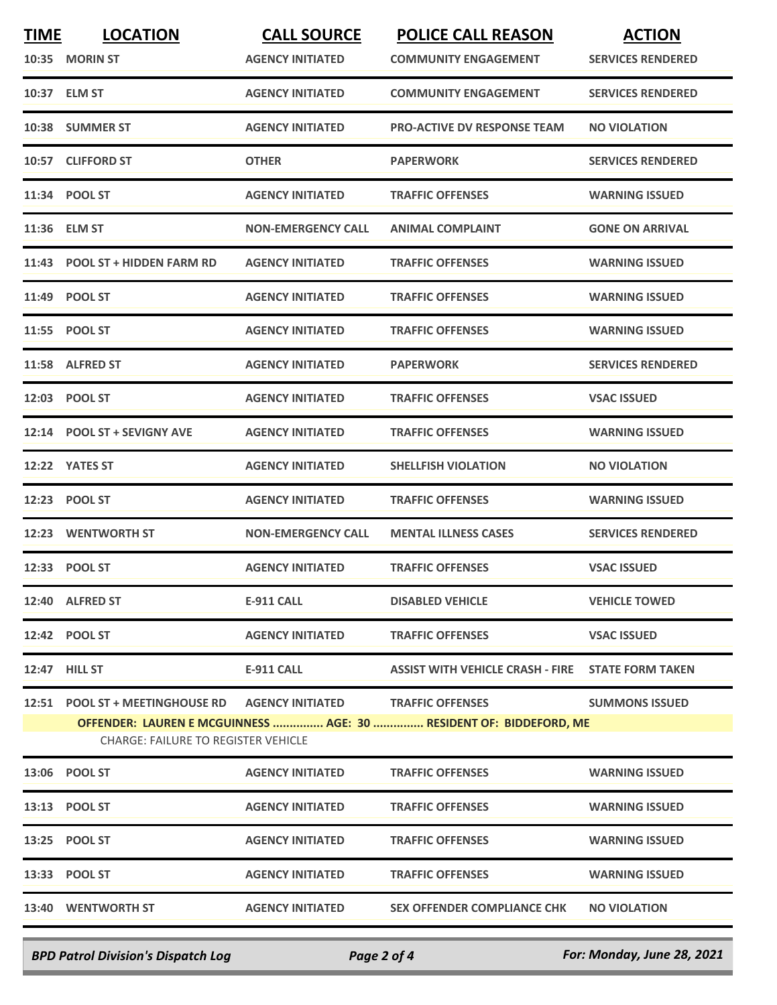| <b>TIME</b>                                                                                                                                                                                               | <b>LOCATION</b><br>10:35 MORIN ST | <b>CALL SOURCE</b><br><b>AGENCY INITIATED</b> | <b>POLICE CALL REASON</b><br><b>COMMUNITY ENGAGEMENT</b> | <b>ACTION</b><br><b>SERVICES RENDERED</b> |
|-----------------------------------------------------------------------------------------------------------------------------------------------------------------------------------------------------------|-----------------------------------|-----------------------------------------------|----------------------------------------------------------|-------------------------------------------|
|                                                                                                                                                                                                           | 10:37 ELM ST                      | <b>AGENCY INITIATED</b>                       | <b>COMMUNITY ENGAGEMENT</b>                              | <b>SERVICES RENDERED</b>                  |
|                                                                                                                                                                                                           | 10:38 SUMMER ST                   | <b>AGENCY INITIATED</b>                       | <b>PRO-ACTIVE DV RESPONSE TEAM</b>                       | <b>NO VIOLATION</b>                       |
|                                                                                                                                                                                                           | 10:57 CLIFFORD ST                 | <b>OTHER</b>                                  | <b>PAPERWORK</b>                                         | <b>SERVICES RENDERED</b>                  |
|                                                                                                                                                                                                           | 11:34 POOL ST                     | <b>AGENCY INITIATED</b>                       | <b>TRAFFIC OFFENSES</b>                                  | <b>WARNING ISSUED</b>                     |
|                                                                                                                                                                                                           | 11:36 ELM ST                      | <b>NON-EMERGENCY CALL</b>                     | <b>ANIMAL COMPLAINT</b>                                  | <b>GONE ON ARRIVAL</b>                    |
|                                                                                                                                                                                                           | 11:43 POOL ST + HIDDEN FARM RD    | <b>AGENCY INITIATED</b>                       | <b>TRAFFIC OFFENSES</b>                                  | <b>WARNING ISSUED</b>                     |
|                                                                                                                                                                                                           | 11:49 POOL ST                     | <b>AGENCY INITIATED</b>                       | <b>TRAFFIC OFFENSES</b>                                  | <b>WARNING ISSUED</b>                     |
|                                                                                                                                                                                                           | 11:55 POOL ST                     | <b>AGENCY INITIATED</b>                       | <b>TRAFFIC OFFENSES</b>                                  | <b>WARNING ISSUED</b>                     |
|                                                                                                                                                                                                           | 11:58 ALFRED ST                   | <b>AGENCY INITIATED</b>                       | <b>PAPERWORK</b>                                         | <b>SERVICES RENDERED</b>                  |
|                                                                                                                                                                                                           | 12:03 POOL ST                     | <b>AGENCY INITIATED</b>                       | <b>TRAFFIC OFFENSES</b>                                  | <b>VSAC ISSUED</b>                        |
| 12:14                                                                                                                                                                                                     | <b>POOL ST + SEVIGNY AVE</b>      | <b>AGENCY INITIATED</b>                       | <b>TRAFFIC OFFENSES</b>                                  | <b>WARNING ISSUED</b>                     |
|                                                                                                                                                                                                           | 12:22 YATES ST                    | <b>AGENCY INITIATED</b>                       | <b>SHELLFISH VIOLATION</b>                               | <b>NO VIOLATION</b>                       |
|                                                                                                                                                                                                           | 12:23 POOL ST                     | <b>AGENCY INITIATED</b>                       | <b>TRAFFIC OFFENSES</b>                                  | <b>WARNING ISSUED</b>                     |
|                                                                                                                                                                                                           | 12:23 WENTWORTH ST                | <b>NON-EMERGENCY CALL</b>                     | <b>MENTAL ILLNESS CASES</b>                              | <b>SERVICES RENDERED</b>                  |
|                                                                                                                                                                                                           | 12:33 POOL ST                     | <b>AGENCY INITIATED</b>                       | <b>TRAFFIC OFFENSES</b>                                  | <b>VSAC ISSUED</b>                        |
|                                                                                                                                                                                                           | 12:40 ALFRED ST                   | <b>E-911 CALL</b>                             | <b>DISABLED VEHICLE</b>                                  | <b>VEHICLE TOWED</b>                      |
|                                                                                                                                                                                                           | 12:42 POOL ST                     | <b>AGENCY INITIATED</b>                       | <b>TRAFFIC OFFENSES</b>                                  | <b>VSAC ISSUED</b>                        |
|                                                                                                                                                                                                           | 12:47 HILL ST                     | <b>E-911 CALL</b>                             | <b>ASSIST WITH VEHICLE CRASH - FIRE STATE FORM TAKEN</b> |                                           |
| 12:51 POOL ST + MEETINGHOUSE RD<br><b>AGENCY INITIATED</b><br><b>TRAFFIC OFFENSES</b><br>OFFENDER: LAUREN E MCGUINNESS  AGE: 30  RESIDENT OF: BIDDEFORD, ME<br><b>CHARGE: FAILURE TO REGISTER VEHICLE</b> |                                   |                                               |                                                          | <b>SUMMONS ISSUED</b>                     |
|                                                                                                                                                                                                           | 13:06 POOL ST                     | <b>AGENCY INITIATED</b>                       | <b>TRAFFIC OFFENSES</b>                                  | <b>WARNING ISSUED</b>                     |
|                                                                                                                                                                                                           | 13:13 POOL ST                     | <b>AGENCY INITIATED</b>                       | <b>TRAFFIC OFFENSES</b>                                  | <b>WARNING ISSUED</b>                     |
|                                                                                                                                                                                                           | 13:25 POOL ST                     | <b>AGENCY INITIATED</b>                       | <b>TRAFFIC OFFENSES</b>                                  | <b>WARNING ISSUED</b>                     |
|                                                                                                                                                                                                           | 13:33 POOL ST                     | <b>AGENCY INITIATED</b>                       | <b>TRAFFIC OFFENSES</b>                                  | <b>WARNING ISSUED</b>                     |
|                                                                                                                                                                                                           | 13:40 WENTWORTH ST                | <b>AGENCY INITIATED</b>                       | <b>SEX OFFENDER COMPLIANCE CHK</b>                       | <b>NO VIOLATION</b>                       |
|                                                                                                                                                                                                           |                                   |                                               |                                                          |                                           |

*BPD Patrol Division's Dispatch Log Page 2 of 4 For: Monday, June 28, 2021*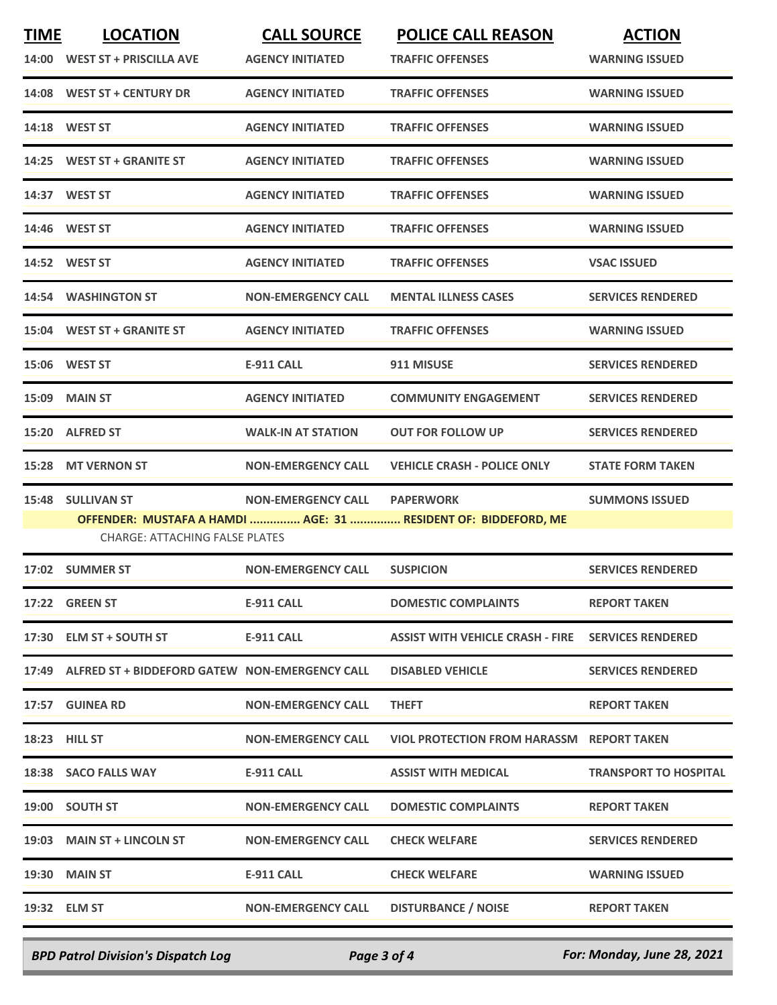| <b>TIME</b> | <b>LOCATION</b>                                      | <b>CALL SOURCE</b>        | <b>POLICE CALL REASON</b>                                      | <b>ACTION</b>                |
|-------------|------------------------------------------------------|---------------------------|----------------------------------------------------------------|------------------------------|
|             | 14:00 WEST ST + PRISCILLA AVE                        | <b>AGENCY INITIATED</b>   | <b>TRAFFIC OFFENSES</b>                                        | <b>WARNING ISSUED</b>        |
|             | 14:08 WEST ST + CENTURY DR                           | <b>AGENCY INITIATED</b>   | <b>TRAFFIC OFFENSES</b>                                        | <b>WARNING ISSUED</b>        |
|             | 14:18 WEST ST                                        | <b>AGENCY INITIATED</b>   | <b>TRAFFIC OFFENSES</b>                                        | <b>WARNING ISSUED</b>        |
| 14:25       | <b>WEST ST + GRANITE ST</b>                          | <b>AGENCY INITIATED</b>   | <b>TRAFFIC OFFENSES</b>                                        | <b>WARNING ISSUED</b>        |
|             | 14:37 WEST ST                                        | <b>AGENCY INITIATED</b>   | <b>TRAFFIC OFFENSES</b>                                        | <b>WARNING ISSUED</b>        |
|             | 14:46 WEST ST                                        | <b>AGENCY INITIATED</b>   | <b>TRAFFIC OFFENSES</b>                                        | <b>WARNING ISSUED</b>        |
|             | 14:52 WEST ST                                        | <b>AGENCY INITIATED</b>   | <b>TRAFFIC OFFENSES</b>                                        | <b>VSAC ISSUED</b>           |
|             | 14:54 WASHINGTON ST                                  | <b>NON-EMERGENCY CALL</b> | <b>MENTAL ILLNESS CASES</b>                                    | <b>SERVICES RENDERED</b>     |
|             | 15:04 WEST ST + GRANITE ST                           | <b>AGENCY INITIATED</b>   | <b>TRAFFIC OFFENSES</b>                                        | <b>WARNING ISSUED</b>        |
|             | 15:06 WEST ST                                        | <b>E-911 CALL</b>         | 911 MISUSE                                                     | <b>SERVICES RENDERED</b>     |
| 15:09       | <b>MAIN ST</b>                                       | <b>AGENCY INITIATED</b>   | <b>COMMUNITY ENGAGEMENT</b>                                    | <b>SERVICES RENDERED</b>     |
| 15:20       | <b>ALFRED ST</b>                                     | <b>WALK-IN AT STATION</b> | <b>OUT FOR FOLLOW UP</b>                                       | <b>SERVICES RENDERED</b>     |
| 15:28       | <b>MT VERNON ST</b>                                  | <b>NON-EMERGENCY CALL</b> | <b>VEHICLE CRASH - POLICE ONLY</b>                             | <b>STATE FORM TAKEN</b>      |
| 15:48       | <b>SULLIVAN ST</b>                                   | <b>NON-EMERGENCY CALL</b> | <b>PAPERWORK</b>                                               | <b>SUMMONS ISSUED</b>        |
|             | <b>CHARGE: ATTACHING FALSE PLATES</b>                |                           | OFFENDER: MUSTAFA A HAMDI  AGE: 31  RESIDENT OF: BIDDEFORD, ME |                              |
|             | 17:02 SUMMER ST                                      | <b>NON-EMERGENCY CALL</b> | <b>SUSPICION</b>                                               | <b>SERVICES RENDERED</b>     |
|             | 17:22 GREEN ST                                       | <b>E-911 CALL</b>         | <b>DOMESTIC COMPLAINTS</b>                                     | <b>REPORT TAKEN</b>          |
|             | 17:30 ELM ST + SOUTH ST                              | E-911 CALL                | <b>ASSIST WITH VEHICLE CRASH - FIRE</b>                        | <b>SERVICES RENDERED</b>     |
|             | 17:49 ALFRED ST + BIDDEFORD GATEW NON-EMERGENCY CALL |                           | <b>DISABLED VEHICLE</b>                                        | <b>SERVICES RENDERED</b>     |
|             | 17:57 GUINEA RD                                      | <b>NON-EMERGENCY CALL</b> | <b>THEFT</b>                                                   | <b>REPORT TAKEN</b>          |
|             | <b>18:23 HILL ST</b>                                 | <b>NON-EMERGENCY CALL</b> | VIOL PROTECTION FROM HARASSM REPORT TAKEN                      |                              |
|             | 18:38 SACO FALLS WAY                                 | E-911 CALL                | <b>ASSIST WITH MEDICAL</b>                                     | <b>TRANSPORT TO HOSPITAL</b> |
|             | 19:00 SOUTH ST                                       | <b>NON-EMERGENCY CALL</b> | <b>DOMESTIC COMPLAINTS</b>                                     | <b>REPORT TAKEN</b>          |
|             | 19:03 MAIN ST + LINCOLN ST                           | <b>NON-EMERGENCY CALL</b> | <b>CHECK WELFARE</b>                                           | <b>SERVICES RENDERED</b>     |
|             | <b>19:30 MAIN ST</b>                                 | E-911 CALL                | <b>CHECK WELFARE</b>                                           | <b>WARNING ISSUED</b>        |
|             | 19:32 ELM ST                                         | <b>NON-EMERGENCY CALL</b> | <b>DISTURBANCE / NOISE</b>                                     | <b>REPORT TAKEN</b>          |
|             |                                                      |                           |                                                                |                              |

*BPD Patrol Division's Dispatch Log Page 3 of 4 For: Monday, June 28, 2021*